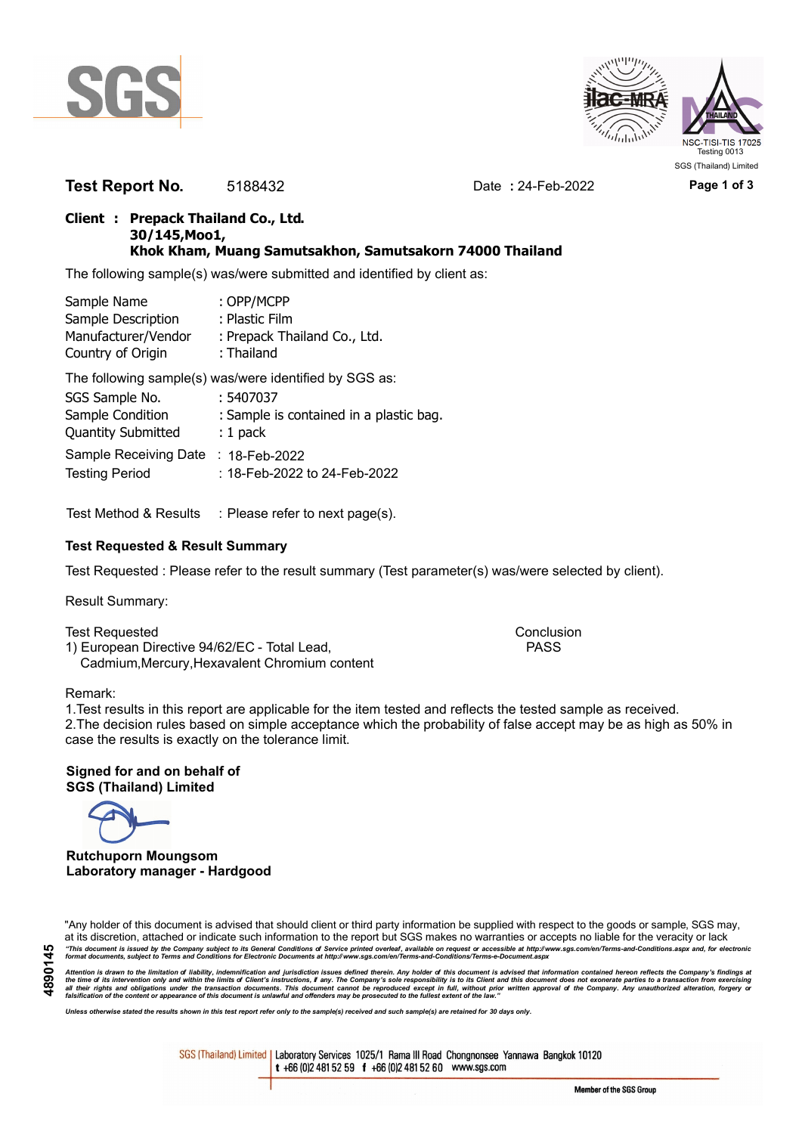



**Test Report No.** 5188432 Date **:** 24-Feb-2022 **Page 1 of 3**

## **Client : Prepack Thailand Co., Ltd. 30/145,Moo1, Khok Kham, Muang Samutsakhon, Samutsakorn 74000 Thailand**

The following sample(s) was/were submitted and identified by client as:

| Sample Name         | : OPP/MCPP                   |
|---------------------|------------------------------|
| Sample Description  | : Plastic Film               |
| Manufacturer/Vendor | : Prepack Thailand Co., Ltd. |
| Country of Origin   | : Thailand                   |

The following sample(s) was/were identified by SGS as:

| SGS Sample No.                      | :5407037                                |
|-------------------------------------|-----------------------------------------|
| Sample Condition                    | : Sample is contained in a plastic bag. |
| <b>Quantity Submitted</b>           | $: 1$ pack                              |
| Sample Receiving Date : 18-Feb-2022 |                                         |
| <b>Testing Period</b>               | : 18-Feb-2022 to 24-Feb-2022            |

Test Method & Results : Please refer to next page(s).

## **Test Requested & Result Summary**

Test Requested : Please refer to the result summary (Test parameter(s) was/were selected by client).

Result Summary:

Test Requested **Conclusion** Conclusion 1) European Directive 94/62/EC - Total Lead, PASS Cadmium,Mercury,Hexavalent Chromium content

### Remark:

1.Test results in this report are applicable for the item tested and reflects the tested sample as received. 2.The decision rules based on simple acceptance which the probability of false accept may be as high as 50% in case the results is exactly on the tolerance limit.

**Signed for and on behalf of SGS (Thailand) Limited**

**Rutchuporn Moungsom Laboratory manager - Hardgood**

"Any holder of this document is advised that should client or third party information be supplied with respect to the goods or sample, SGS may, at its discretion, attached or indicate such information to the report but SGS makes no warranties or accepts no liable for the veracity or lack "This document is issued by the Company subject to its General Conditions of Service printed overleaf, available on request or accessible at http://www.sgs.com/en/Terms-and-Conditions.aspx and, for electronic<br>format docume

Attention is drawn to the limitation of liability, indemnification and jurisdiction issues defined therein. Any holder of this document is advised that information contained hereon reflects the Company's findings at<br>all th

*Unless otherwise stated the results shown in this test report refer only to the sample(s) received and such sample(s) are retained for 30 days only.*

SGS (Thailand) Limited | Laboratory Services 1025/1 Rama III Road Chongnonsee Yannawa Bangkok 10120 t +66 (0)2 481 52 59 f +66 (0)2 481 52 60 www.sgs.com

Member of the SGS Group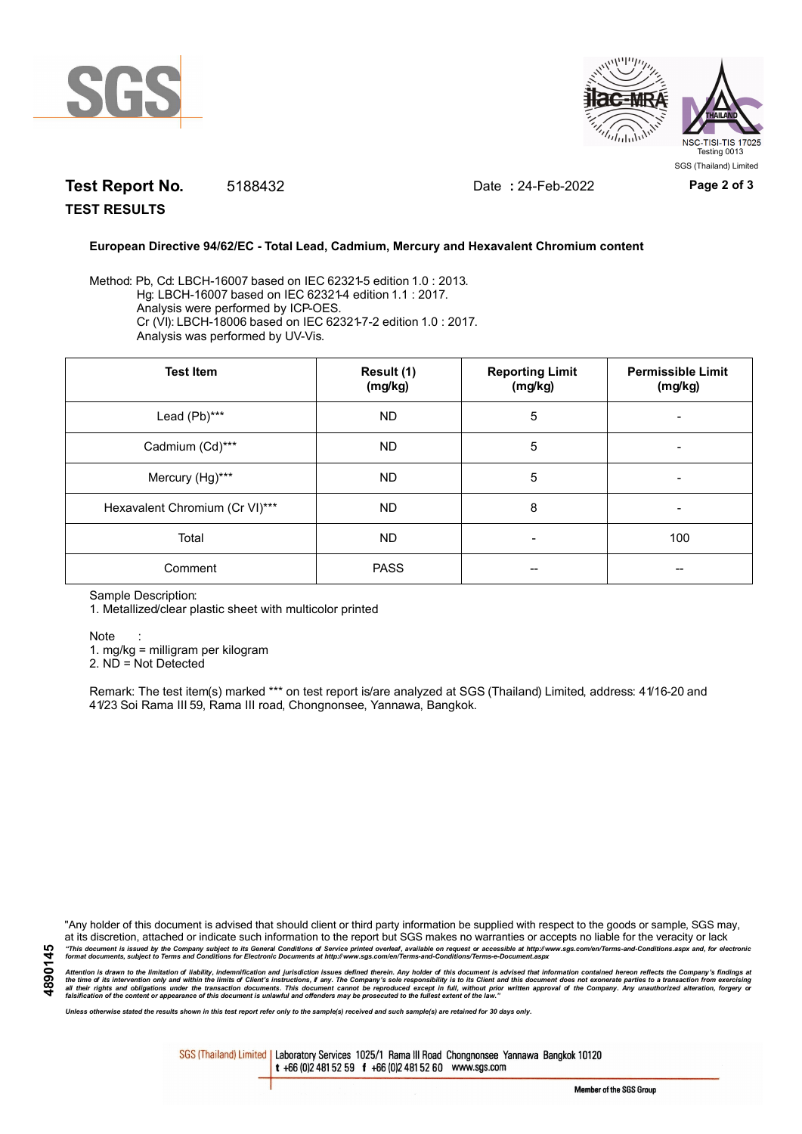



# **Test Report No.** 5188432 Date **:** 24-Feb-2022 **Page 2 of 3**

**TEST RESULTS**

#### **European Directive 94/62/EC - Total Lead, Cadmium, Mercury and Hexavalent Chromium content**

Method: Pb, Cd: LBCH-16007 based on IEC 62321-5 edition 1.0 : 2013. Hg: LBCH-16007 based on IEC 62321-4 edition 1.1 : 2017. Analysis were performed by ICP-OES. Cr (VI): LBCH-18006 based on IEC 62321-7-2 edition 1.0 : 2017. Analysis was performed by UV-Vis.

| <b>Test Item</b>               | Result (1)<br>(mg/kg) | <b>Reporting Limit</b><br>(mg/kg) | <b>Permissible Limit</b><br>(mg/kg) |
|--------------------------------|-----------------------|-----------------------------------|-------------------------------------|
| Lead (Pb)***                   | ND.                   | 5                                 |                                     |
| Cadmium (Cd)***                | ND.                   | 5                                 |                                     |
| Mercury (Hg)***                | <b>ND</b>             | 5                                 | -                                   |
| Hexavalent Chromium (Cr VI)*** | <b>ND</b>             | 8                                 | -                                   |
| Total                          | <b>ND</b>             | $\overline{\phantom{0}}$          | 100                                 |
| Comment                        | <b>PASS</b>           | --                                |                                     |

Sample Description:

1. Metallized/clear plastic sheet with multicolor printed

Note :

1. mg/kg = milligram per kilogram

2. ND = Not Detected

Remark: The test item(s) marked \*\*\* on test report is/are analyzed at SGS (Thailand) Limited, address: 41/16-20 and 41/23 Soi Rama III 59, Rama III road, Chongnonsee, Yannawa, Bangkok.

"Any holder of this document is advised that should client or third party information be supplied with respect to the goods or sample, SGS may, at its discretion, attached or indicate such information to the report but SGS makes no warranties or accepts no liable for the veracity or lack "This document is issued by the Company subject to its General Conditions of Service printed overleaf, available on request or accessible at http://www.sgs.com/en/Terms-and-Conditions.aspx and, for electronic<br>format docume

Attention is drawn to the limitation of liability, indemnification and jurisdiction issues defined therein. Any holder of this document is advised that information contained hereon reflects the Company's findings at<br>all th

*Unless otherwise stated the results shown in this test report refer only to the sample(s) received and such sample(s) are retained for 30 days only.*

SGS (Thailand) Limited | Laboratory Services 1025/1 Rama III Road Chongnonsee Yannawa Bangkok 10120 t +66 (0)2 481 52 59 f +66 (0)2 481 52 60 www.sgs.com